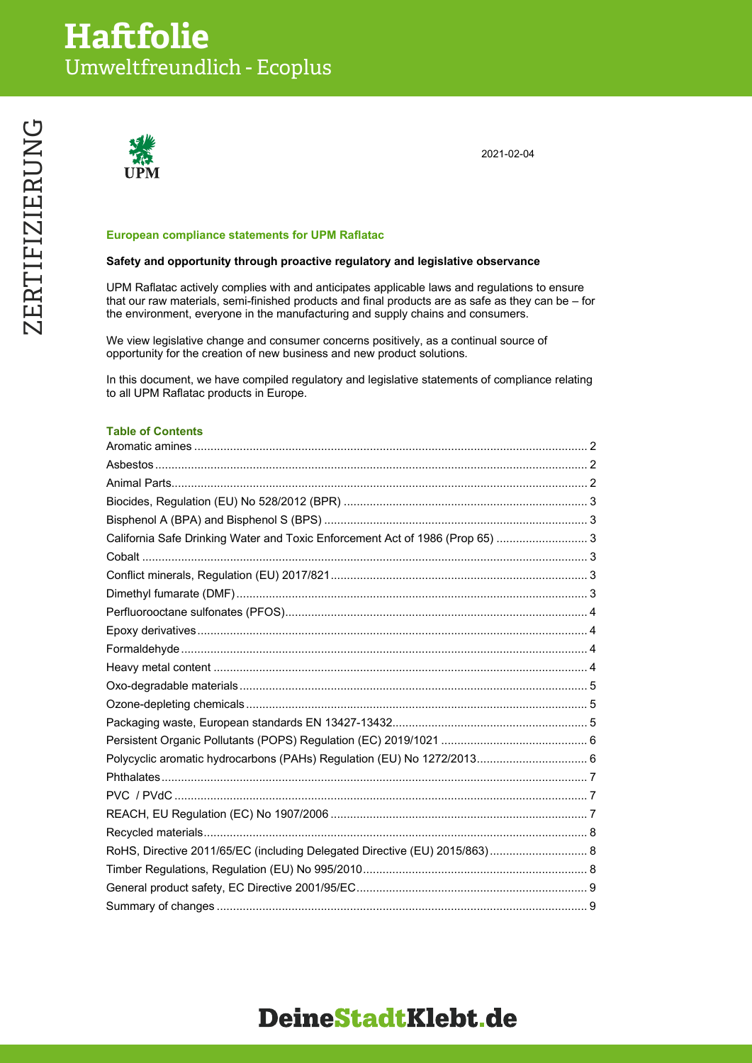

2021-02-04

#### **European compliance statements for UPM Raflatac**

#### **Safety and opportunity through proactive regulatory and legislative observance**

UPM Raflatac actively complies with and anticipates applicable laws and regulations to ensure that our raw materials, semi-finished products and final products are as safe as they can be – for the environment, everyone in the manufacturing and supply chains and consumers.

We view legislative change and consumer concerns positively, as a continual source of opportunity for the creation of new business and new product solutions.

In this document, we have compiled regulatory and legislative statements of compliance relating to all UPM Raflatac products in Europe.

#### **Table of Contents**

| California Safe Drinking Water and Toxic Enforcement Act of 1986 (Prop 65)  3 |  |
|-------------------------------------------------------------------------------|--|
|                                                                               |  |
|                                                                               |  |
|                                                                               |  |
|                                                                               |  |
|                                                                               |  |
|                                                                               |  |
|                                                                               |  |
|                                                                               |  |
|                                                                               |  |
|                                                                               |  |
|                                                                               |  |
|                                                                               |  |
|                                                                               |  |
|                                                                               |  |
|                                                                               |  |
|                                                                               |  |
| RoHS, Directive 2011/65/EC (including Delegated Directive (EU) 2015/863) 8    |  |
|                                                                               |  |
|                                                                               |  |
|                                                                               |  |

# **ZERTIFIZIERUNG** ZERTIFIZIERUNG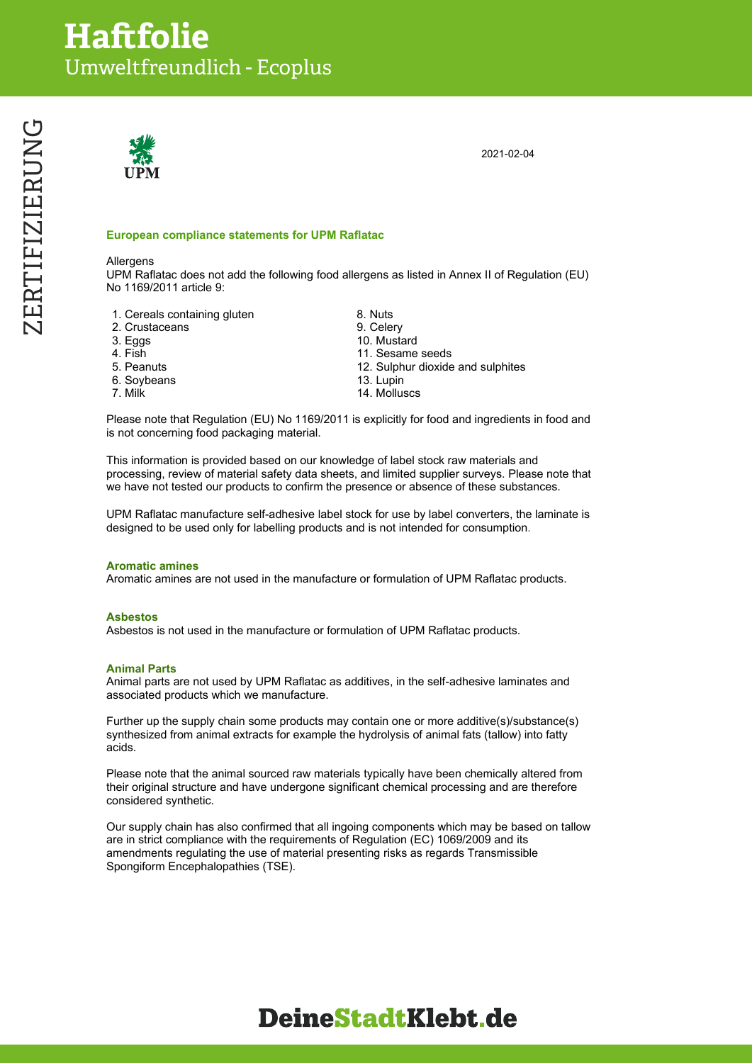

2021-02-04

#### **European compliance statements for UPM Raflatac**

#### Allergens

UPM Raflatac does not add the following food allergens as listed in Annex II of Regulation (EU) No 1169/2011 article 9:

- 1. Cereals containing gluten and the second term of 8. Nuts<br>2. Crustaceans 2. Selery
- 2. Crustaceans<br>3. Eggs
- 
- 
- 
- 
- 
- 10. Mustard 4. Fish 11. Sesame seeds 5. Peanuts 12. Sulphur dioxide and sulphites 6. Soybeans 13. Lupin 7. Milk 2001 2002 14. Molluscs

Please note that Regulation (EU) No 1169/2011 is explicitly for food and ingredients in food and is not concerning food packaging material.

This information is provided based on our knowledge of label stock raw materials and processing, review of material safety data sheets, and limited supplier surveys. Please note that we have not tested our products to confirm the presence or absence of these substances.

UPM Raflatac manufacture self-adhesive label stock for use by label converters, the laminate is designed to be used only for labelling products and is not intended for consumption.

#### **Aromatic amines**

Aromatic amines are not used in the manufacture or formulation of UPM Raflatac products.

#### **Asbestos**

Asbestos is not used in the manufacture or formulation of UPM Raflatac products.

#### **Animal Parts**

Animal parts are not used by UPM Raflatac as additives, in the self-adhesive laminates and associated products which we manufacture.

Further up the supply chain some products may contain one or more additive(s)/substance(s) synthesized from animal extracts for example the hydrolysis of animal fats (tallow) into fatty acids.

Please note that the animal sourced raw materials typically have been chemically altered from their original structure and have undergone significant chemical processing and are therefore considered synthetic.

Our supply chain has also confirmed that all ingoing components which may be based on tallow are in strict compliance with the requirements of Regulation (EC) 1069/2009 and its amendments regulating the use of material presenting risks as regards Transmissible Spongiform Encephalopathies (TSE).

**DeineStadtKlebt.de** 

# ZERTIFIZIERUNG ZERTIFIZIERUNG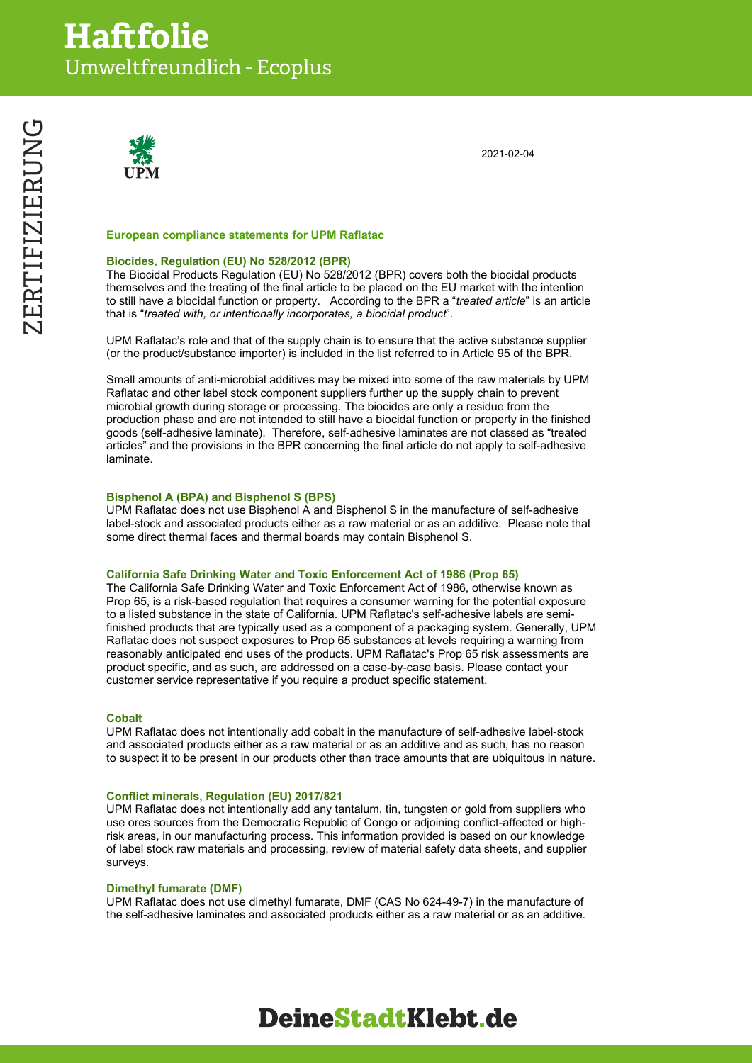

2021-02-04

#### **European compliance statements for UPM Raflatac**

#### **Biocides, Regulation (EU) No 528/2012 (BPR)**

The Biocidal Products Regulation (EU) No 528/2012 (BPR) covers both the biocidal products themselves and the treating of the final article to be placed on the EU market with the intention to still have a biocidal function or property. According to the BPR a "*treated article*" is an article that is "*treated with, or intentionally incorporates, a biocidal product*".

UPM Raflatac's role and that of the supply chain is to ensure that the active substance supplier (or the product/substance importer) is included in the list referred to in Article 95 of the BPR.

Small amounts of anti-microbial additives may be mixed into some of the raw materials by UPM Raflatac and other label stock component suppliers further up the supply chain to prevent microbial growth during storage or processing. The biocides are only a residue from the production phase and are not intended to still have a biocidal function or property in the finished goods (self-adhesive laminate). Therefore, self-adhesive laminates are not classed as "treated articles" and the provisions in the BPR concerning the final article do not apply to self-adhesive laminate.

#### **Bisphenol A (BPA) and Bisphenol S (BPS)**

UPM Raflatac does not use Bisphenol A and Bisphenol S in the manufacture of self-adhesive label-stock and associated products either as a raw material or as an additive. Please note that some direct thermal faces and thermal boards may contain Bisphenol S.

#### **California Safe Drinking Water and Toxic Enforcement Act of 1986 (Prop 65)**

The California Safe Drinking Water and Toxic Enforcement Act of 1986, otherwise known as Prop 65, is a risk-based regulation that requires a consumer warning for the potential exposure to a listed substance in the state of California. UPM Raflatac's self-adhesive labels are semifinished products that are typically used as a component of a packaging system. Generally, UPM Raflatac does not suspect exposures to Prop 65 substances at levels requiring a warning from reasonably anticipated end uses of the products. UPM Raflatac's Prop 65 risk assessments are product specific, and as such, are addressed on a case-by-case basis. Please contact your customer service representative if you require a product specific statement.

#### **Cobalt**

UPM Raflatac does not intentionally add cobalt in the manufacture of self-adhesive label-stock and associated products either as a raw material or as an additive and as such, has no reason to suspect it to be present in our products other than trace amounts that are ubiquitous in nature.

#### **Conflict minerals, Regulation (EU) 2017/821**

UPM Raflatac does not intentionally add any tantalum, tin, tungsten or gold from suppliers who use ores sources from the Democratic Republic of Congo or adjoining conflict-affected or highrisk areas, in our manufacturing process. This information provided is based on our knowledge of label stock raw materials and processing, review of material safety data sheets, and supplier surveys.

#### **Dimethyl fumarate (DMF)**

UPM Raflatac does not use dimethyl fumarate, DMF (CAS No 624-49-7) in the manufacture of the self-adhesive laminates and associated products either as a raw material or as an additive.

# ZERTIFIZIERUNG ZERTIFIZIERUNG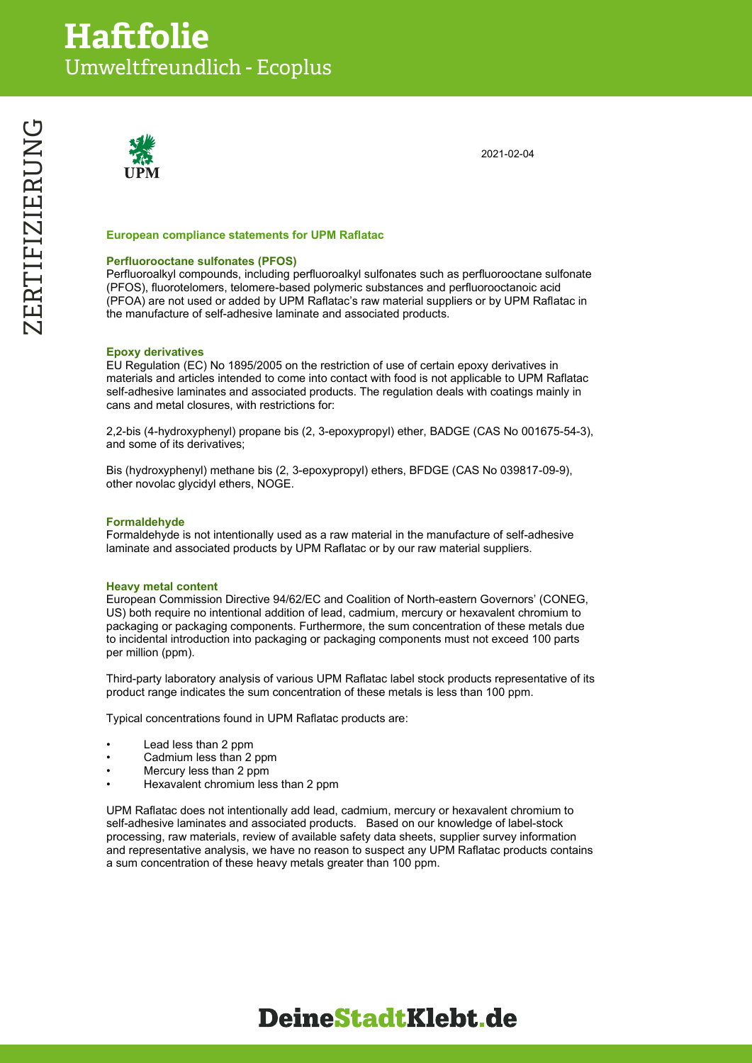

2021-02-04

#### **European compliance statements for UPM Raflatac**

#### **Perfluorooctane sulfonates (PFOS)**

Perfluoroalkyl compounds, including perfluoroalkyl sulfonates such as perfluorooctane sulfonate (PFOS), fluorotelomers, telomere-based polymeric substances and perfluorooctanoic acid (PFOA) are not used or added by UPM Raflatac's raw material suppliers or by UPM Raflatac in the manufacture of self-adhesive laminate and associated products.

#### **Epoxy derivatives**

EU Regulation (EC) No 1895/2005 on the restriction of use of certain epoxy derivatives in materials and articles intended to come into contact with food is not applicable to UPM Raflatac self-adhesive laminates and associated products. The regulation deals with coatings mainly in cans and metal closures, with restrictions for:

2,2-bis (4-hydroxyphenyl) propane bis (2, 3-epoxypropyl) ether, BADGE (CAS No 001675-54-3), and some of its derivatives;

Bis (hydroxyphenyl) methane bis (2, 3-epoxypropyl) ethers, BFDGE (CAS No 039817-09-9), other novolac glycidyl ethers, NOGE.

#### **Formaldehyde**

Formaldehyde is not intentionally used as a raw material in the manufacture of self-adhesive laminate and associated products by UPM Raflatac or by our raw material suppliers.

#### **Heavy metal content**

European Commission Directive 94/62/EC and Coalition of North-eastern Governors' (CONEG, US) both require no intentional addition of lead, cadmium, mercury or hexavalent chromium to packaging or packaging components. Furthermore, the sum concentration of these metals due to incidental introduction into packaging or packaging components must not exceed 100 parts per million (ppm).

Third-party laboratory analysis of various UPM Raflatac label stock products representative of its product range indicates the sum concentration of these metals is less than 100 ppm.

Typical concentrations found in UPM Raflatac products are:

- Lead less than 2 ppm
- Cadmium less than 2 ppm
- Mercury less than 2 ppm
- Hexavalent chromium less than 2 ppm

UPM Raflatac does not intentionally add lead, cadmium, mercury or hexavalent chromium to self-adhesive laminates and associated products. Based on our knowledge of label-stock processing, raw materials, review of available safety data sheets, supplier survey information and representative analysis, we have no reason to suspect any UPM Raflatac products contains a sum concentration of these heavy metals greater than 100 ppm.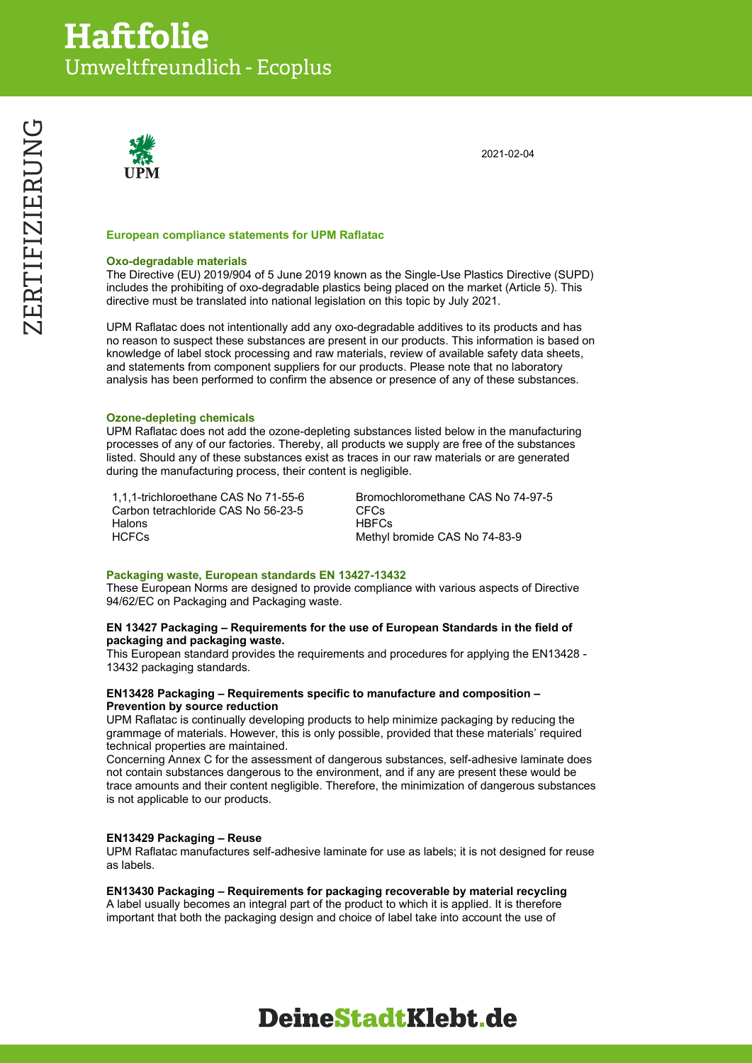

2021-02-04

#### **European compliance statements for UPM Raflatac**

#### **Oxo-degradable materials**

The Directive (EU) 2019/904 of 5 June 2019 known as the Single-Use Plastics Directive (SUPD) includes the prohibiting of oxo-degradable plastics being placed on the market (Article 5). This directive must be translated into national legislation on this topic by July 2021.

UPM Raflatac does not intentionally add any oxo-degradable additives to its products and has no reason to suspect these substances are present in our products. This information is based on knowledge of label stock processing and raw materials, review of available safety data sheets, and statements from component suppliers for our products. Please note that no laboratory analysis has been performed to confirm the absence or presence of any of these substances.

#### **Ozone-depleting chemicals**

UPM Raflatac does not add the ozone-depleting substances listed below in the manufacturing processes of any of our factories. Thereby, all products we supply are free of the substances listed. Should any of these substances exist as traces in our raw materials or are generated during the manufacturing process, their content is negligible.

1,1,1-trichloroethane CAS No 71-55-6 Bromochloromethane CAS No 74-97-5 Carbon tetrachloride CAS No 56-23-5 CFCs Halons HBFCs<br>HCFCs HCFCs Methyl

Methyl bromide CAS No 74-83-9

#### **Packaging waste, European standards EN 13427-13432**

These European Norms are designed to provide compliance with various aspects of Directive 94/62/EC on Packaging and Packaging waste.

#### **EN 13427 Packaging – Requirements for the use of European Standards in the field of packaging and packaging waste.**

This European standard provides the requirements and procedures for applying the EN13428 - 13432 packaging standards.

#### **EN13428 Packaging – Requirements specific to manufacture and composition – Prevention by source reduction**

UPM Raflatac is continually developing products to help minimize packaging by reducing the grammage of materials. However, this is only possible, provided that these materials' required technical properties are maintained.

Concerning Annex C for the assessment of dangerous substances, self-adhesive laminate does not contain substances dangerous to the environment, and if any are present these would be trace amounts and their content negligible. Therefore, the minimization of dangerous substances is not applicable to our products.

#### **EN13429 Packaging – Reuse**

UPM Raflatac manufactures self-adhesive laminate for use as labels; it is not designed for reuse as labels.

#### **EN13430 Packaging – Requirements for packaging recoverable by material recycling**

A label usually becomes an integral part of the product to which it is applied. It is therefore important that both the packaging design and choice of label take into account the use of

# ZERTIFIZIERUNG ZERTIFIZIERUNG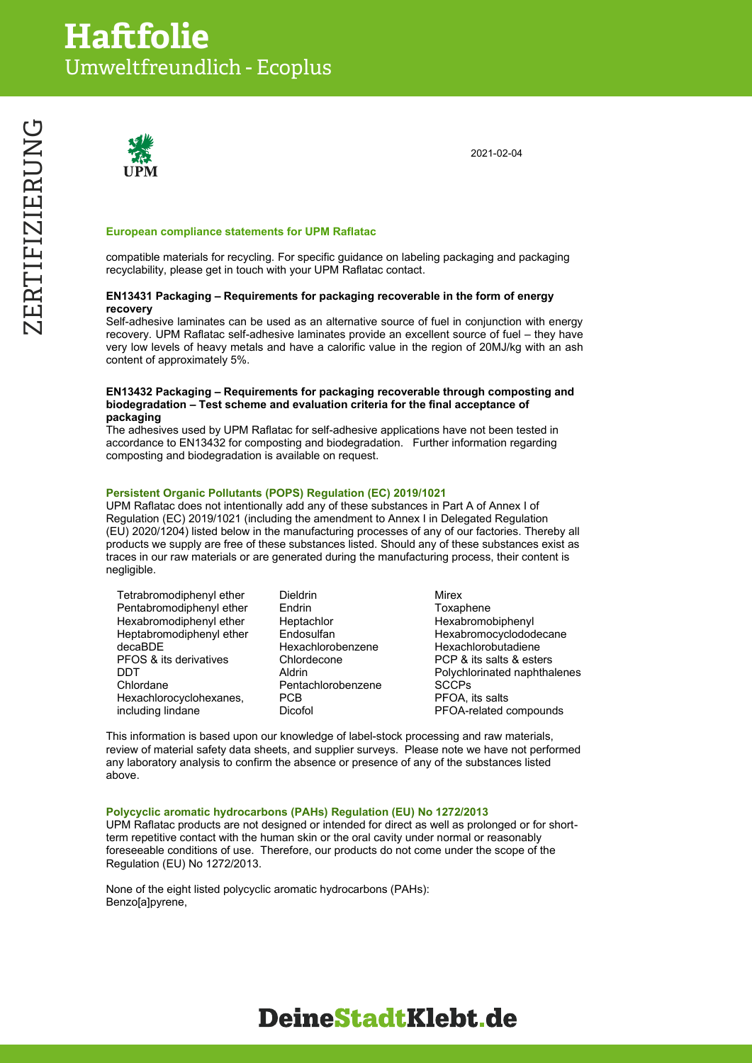

2021-02-04

#### **European compliance statements for UPM Raflatac**

compatible materials for recycling. For specific guidance on labeling packaging and packaging recyclability, please get in touch with your UPM Raflatac contact.

#### **EN13431 Packaging – Requirements for packaging recoverable in the form of energy recovery**

Self-adhesive laminates can be used as an alternative source of fuel in conjunction with energy recovery. UPM Raflatac self-adhesive laminates provide an excellent source of fuel – they have very low levels of heavy metals and have a calorific value in the region of 20MJ/kg with an ash content of approximately 5%.

#### **EN13432 Packaging – Requirements for packaging recoverable through composting and biodegradation – Test scheme and evaluation criteria for the final acceptance of packaging**

The adhesives used by UPM Raflatac for self-adhesive applications have not been tested in accordance to EN13432 for composting and biodegradation. Further information regarding composting and biodegradation is available on request.

#### **Persistent Organic Pollutants (POPS) Regulation (EC) 2019/1021**

UPM Raflatac does not intentionally add any of these substances in Part A of Annex I of Regulation (EC) 2019/1021 (including the amendment to Annex I in Delegated Regulation (EU) 2020/1204) listed below in the manufacturing processes of any of our factories. Thereby all products we supply are free of these substances listed. Should any of these substances exist as traces in our raw materials or are generated during the manufacturing process, their content is negligible.

| Tetrabromodiphenyl ether          | <b>Dieldrin</b>    | Mirex                        |
|-----------------------------------|--------------------|------------------------------|
| Pentabromodiphenyl ether          | Endrin             | Toxaphene                    |
| Hexabromodiphenyl ether           | Heptachlor         | Hexabromobiphenyl            |
| Heptabromodiphenyl ether          | Endosulfan         | Hexabromocyclododecane       |
| decaBDE                           | Hexachlorobenzene  | Hexachlorobutadiene          |
| <b>PFOS &amp; its derivatives</b> | Chlordecone        | PCP & its salts & esters     |
| DDT                               | Aldrin             | Polychlorinated naphthalenes |
| Chlordane                         | Pentachlorobenzene | <b>SCCPs</b>                 |
| Hexachlorocyclohexanes,           | <b>PCB</b>         | PFOA. its salts              |
| including lindane                 | Dicofol            | PFOA-related compounds       |

This information is based upon our knowledge of label-stock processing and raw materials, review of material safety data sheets, and supplier surveys. Please note we have not performed any laboratory analysis to confirm the absence or presence of any of the substances listed above.

#### **Polycyclic aromatic hydrocarbons (PAHs) Regulation (EU) No 1272/2013**

UPM Raflatac products are not designed or intended for direct as well as prolonged or for shortterm repetitive contact with the human skin or the oral cavity under normal or reasonably foreseeable conditions of use. Therefore, our products do not come under the scope of the Regulation (EU) No 1272/2013.

None of the eight listed polycyclic aromatic hydrocarbons (PAHs): Benzo[a]pyrene,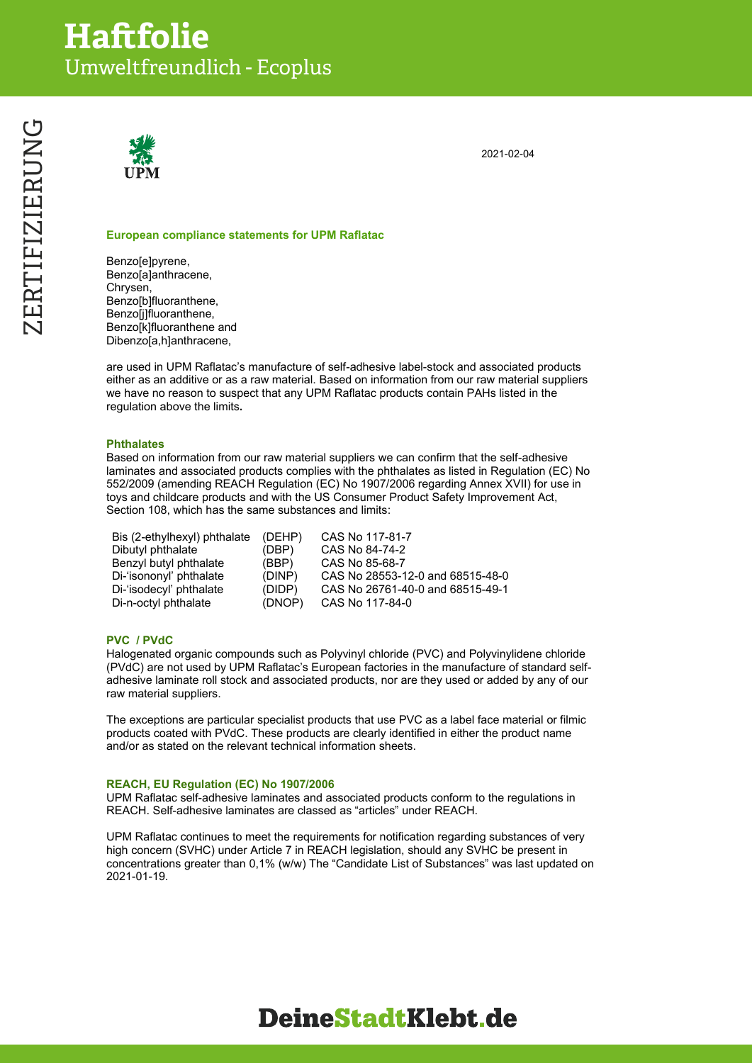

2021-02-04

#### **European compliance statements for UPM Raflatac**

Benzo[e]pyrene, Benzo[a]anthracene, Chrysen, Benzo[b]fluoranthene, Benzo[j]fluoranthene, Benzo[k]fluoranthene and Dibenzo[a,h]anthracene,

are used in UPM Raflatac's manufacture of self-adhesive label-stock and associated products either as an additive or as a raw material. Based on information from our raw material suppliers we have no reason to suspect that any UPM Raflatac products contain PAHs listed in the regulation above the limits**.**

#### **Phthalates**

Based on information from our raw material suppliers we can confirm that the self-adhesive laminates and associated products complies with the phthalates as listed in Regulation (EC) No 552/2009 (amending REACH Regulation (EC) No 1907/2006 regarding Annex XVII) for use in toys and childcare products and with the US Consumer Product Safety Improvement Act, Section 108, which has the same substances and limits:

| Bis (2-ethylhexyl) phthalate | (DEHP) | CAS No 117-81-7                  |
|------------------------------|--------|----------------------------------|
| Dibutyl phthalate            | (DBP)  | CAS No 84-74-2                   |
| Benzyl butyl phthalate       | (BBP)  | CAS No 85-68-7                   |
| Di-'isononyl' phthalate      | (DINP) | CAS No 28553-12-0 and 68515-48-0 |
| Di-'isodecyl' phthalate      | (DIDP) | CAS No 26761-40-0 and 68515-49-1 |
| Di-n-octyl phthalate         | (DNOP) | CAS No 117-84-0                  |

#### **PVC / PVdC**

Halogenated organic compounds such as Polyvinyl chloride (PVC) and Polyvinylidene chloride (PVdC) are not used by UPM Raflatac's European factories in the manufacture of standard selfadhesive laminate roll stock and associated products, nor are they used or added by any of our raw material suppliers.

The exceptions are particular specialist products that use PVC as a label face material or filmic products coated with PVdC. These products are clearly identified in either the product name and/or as stated on the relevant technical information sheets.

#### **REACH, EU Regulation (EC) No 1907/2006**

UPM Raflatac self-adhesive laminates and associated products conform to the regulations in REACH. Self-adhesive laminates are classed as "articles" under REACH.

UPM Raflatac continues to meet the requirements for notification regarding substances of very high concern (SVHC) under Article 7 in REACH legislation, should any SVHC be present in concentrations greater than 0,1% (w/w) The "Candidate List of Substances" was last updated on 2021-01-19.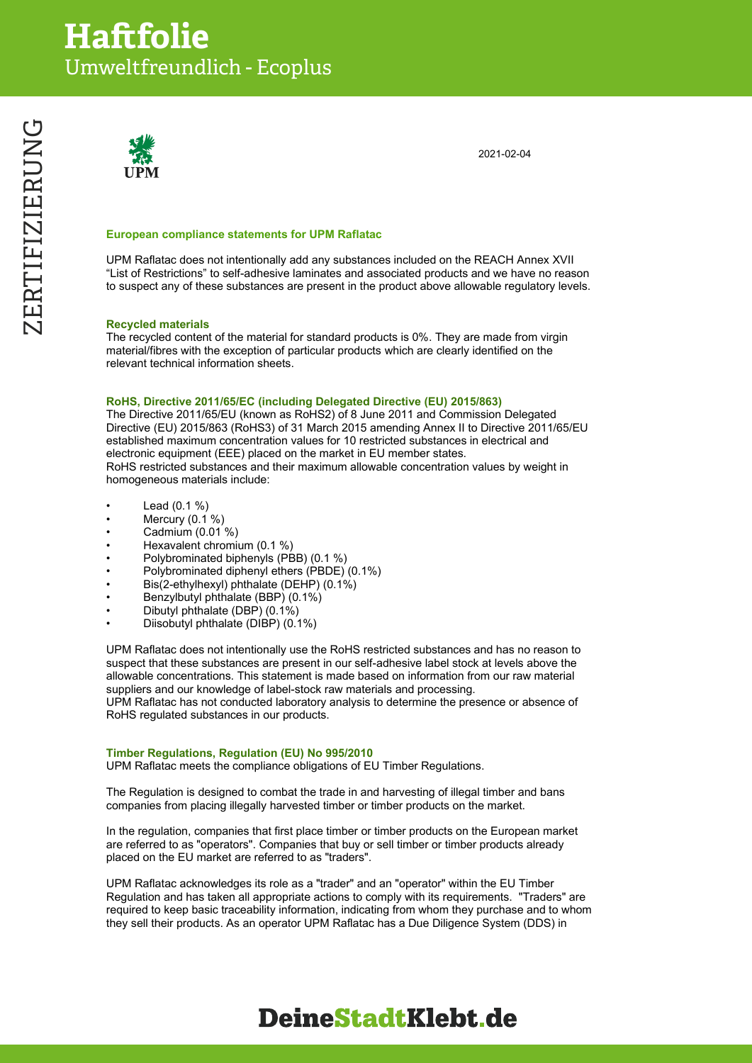

2021-02-04

#### **European compliance statements for UPM Raflatac**

UPM Raflatac does not intentionally add any substances included on the REACH Annex XVII "List of Restrictions" to self-adhesive laminates and associated products and we have no reason to suspect any of these substances are present in the product above allowable regulatory levels.

#### **Recycled materials**

The recycled content of the material for standard products is 0%. They are made from virgin material/fibres with the exception of particular products which are clearly identified on the relevant technical information sheets.

#### **RoHS, Directive 2011/65/EC (including Delegated Directive (EU) 2015/863)**

The Directive 2011/65/EU (known as RoHS2) of 8 June 2011 and Commission Delegated Directive (EU) 2015/863 (RoHS3) of 31 March 2015 amending Annex II to Directive 2011/65/EU established maximum concentration values for 10 restricted substances in electrical and electronic equipment (EEE) placed on the market in EU member states. RoHS restricted substances and their maximum allowable concentration values by weight in homogeneous materials include:

- Lead  $(0.1 %)$
- Mercury  $(0.1 %$
- Cadmium (0.01 %)
- Hexavalent chromium (0.1 %)
- Polybrominated biphenyls (PBB) (0.1 %)
- Polybrominated diphenyl ethers (PBDE) (0.1%)
- Bis(2-ethylhexyl) phthalate (DEHP) (0.1%)
- Benzylbutyl phthalate (BBP) (0.1%)
- Dibutyl phthalate (DBP) (0.1%)
- Diisobutyl phthalate (DIBP) (0.1%)

UPM Raflatac does not intentionally use the RoHS restricted substances and has no reason to suspect that these substances are present in our self-adhesive label stock at levels above the allowable concentrations. This statement is made based on information from our raw material suppliers and our knowledge of label-stock raw materials and processing.

UPM Raflatac has not conducted laboratory analysis to determine the presence or absence of RoHS regulated substances in our products.

#### **Timber Regulations, Regulation (EU) No 995/2010**

UPM Raflatac meets the compliance obligations of EU Timber Regulations.

The Regulation is designed to combat the trade in and harvesting of illegal timber and bans companies from placing illegally harvested timber or timber products on the market.

In the regulation, companies that first place timber or timber products on the European market are referred to as "operators". Companies that buy or sell timber or timber products already placed on the EU market are referred to as "traders".

UPM Raflatac acknowledges its role as a "trader" and an "operator" within the EU Timber Regulation and has taken all appropriate actions to comply with its requirements. "Traders" are required to keep basic traceability information, indicating from whom they purchase and to whom they sell their products. As an operator UPM Raflatac has a Due Diligence System (DDS) in